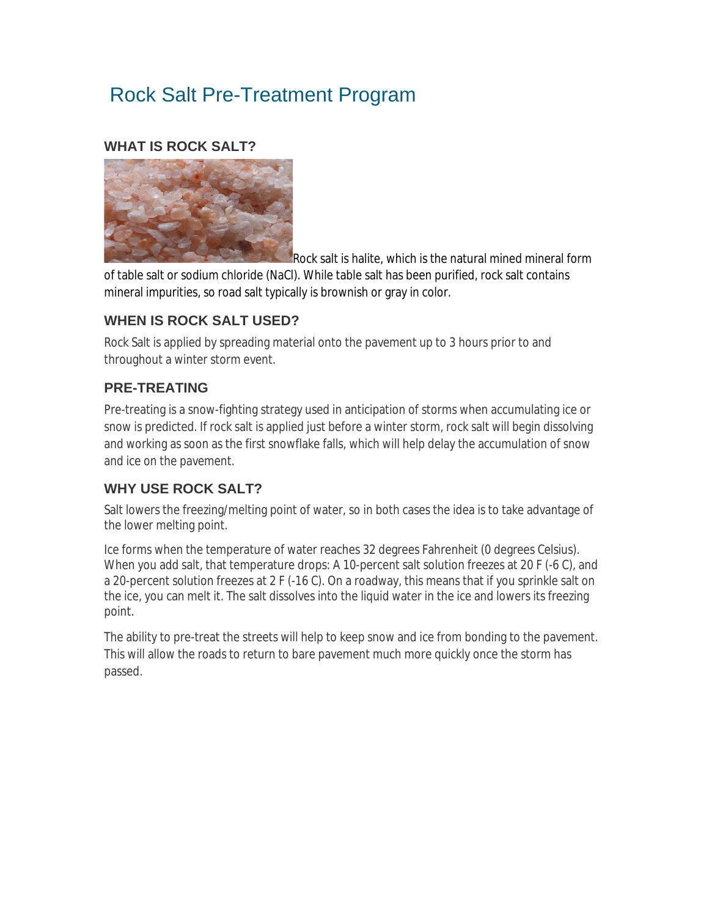# Rock Salt Pre-Treatment Program

#### **WHAT IS ROCK SALT?**



Rock salt is halite, which is the natural mined mineral form of table salt or sodium chloride (NaCl). While table salt has been purified, rock salt contains

mineral impurities, so road salt typically is brownish or gray in color.

## **WHEN IS ROCK SALT USED?**

Rock Salt is applied by spreading material onto the pavement up to 3 hours prior to and throughout a winter storm event.

## **PRE-TREATING**

Pre-treating is a snow-fighting strategy used in anticipation of storms when accumulating ice or snow is predicted. If rock salt is applied just before a winter storm, rock salt will begin dissolving and working as soon as the first snowflake falls, which will help delay the accumulation of snow and ice on the pavement.

## **WHY USE ROCK SALT?**

Salt lowers the freezing/melting point of water, so in both cases the idea is to take advantage of the lower melting point.

Ice forms when the temperature of water reaches 32 degrees Fahrenheit (0 degrees Celsius). When you add salt, that temperature drops: A 10-percent salt solution freezes at 20 F (-6 C), and a 20-percent solution freezes at 2 F (-16 C). On a roadway, this means that if you sprinkle salt on the ice, you can melt it. The salt dissolves into the liquid water in the ice and lowers its freezing point.

The ability to pre-treat the streets will help to keep snow and ice from bonding to the pavement. This will allow the roads to return to bare pavement much more quickly once the storm has passed.